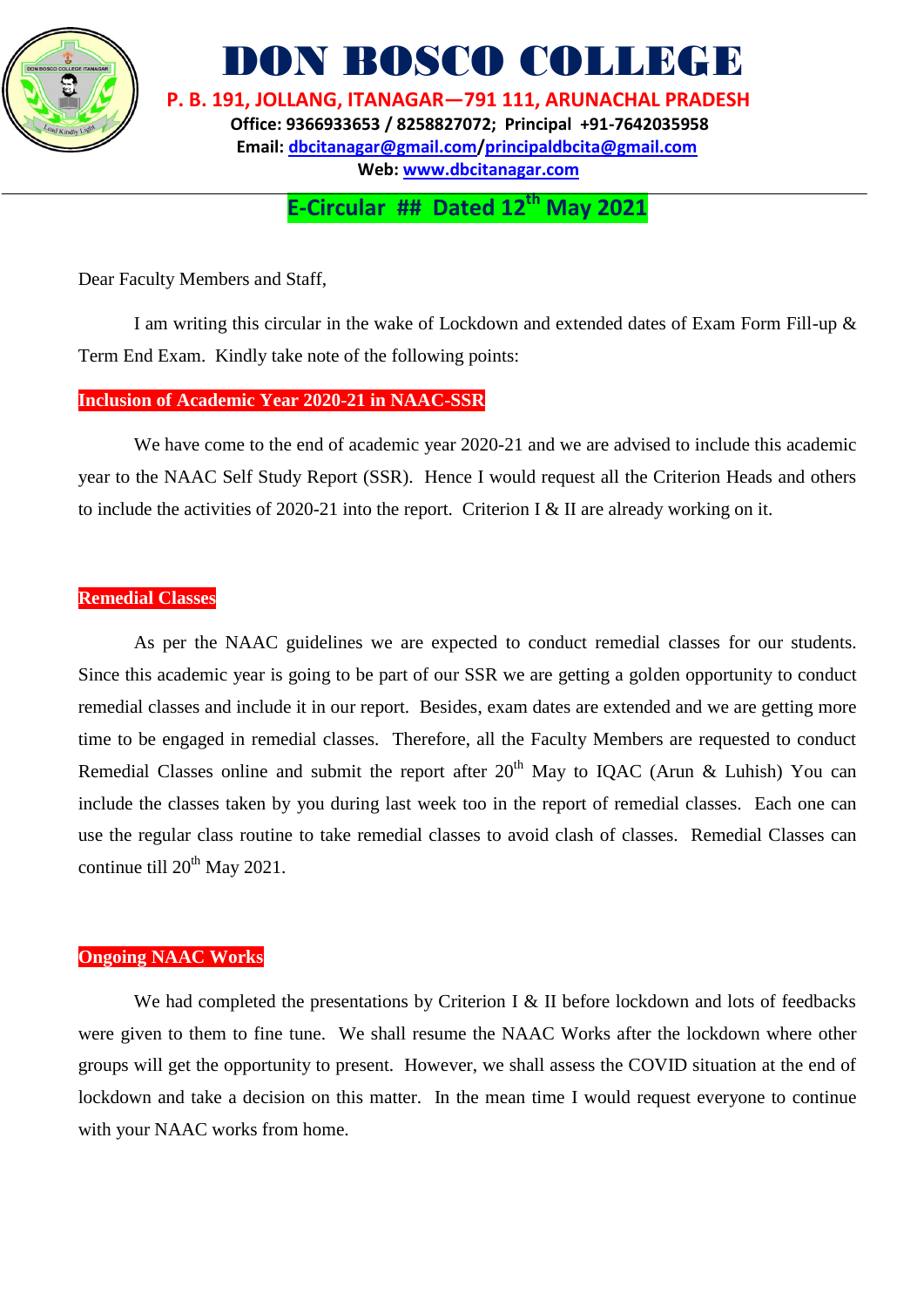

DON BOSCO COLLEGE

 **P. B. 191, JOLLANG, ITANAGAR—791 111, ARUNACHAL PRADESH Office: 9366933653 / 8258827072; Principal +91-7642035958 Email: [dbcitanagar@gmail.com/](mailto:dbcitanagar@gmail.com)principaldbcita@gmail.com Web: [www.dbcitanagar.com](http://www.dbcitanagar.com/)**

**E-Circular ## Dated 12th May 2021**

Dear Faculty Members and Staff,

I am writing this circular in the wake of Lockdown and extended dates of Exam Form Fill-up & Term End Exam. Kindly take note of the following points:

## **Inclusion of Academic Year 2020-21 in NAAC-SSR**

We have come to the end of academic year 2020-21 and we are advised to include this academic year to the NAAC Self Study Report (SSR). Hence I would request all the Criterion Heads and others to include the activities of 2020-21 into the report. Criterion I & II are already working on it.

### **Remedial Classes**

As per the NAAC guidelines we are expected to conduct remedial classes for our students. Since this academic year is going to be part of our SSR we are getting a golden opportunity to conduct remedial classes and include it in our report. Besides, exam dates are extended and we are getting more time to be engaged in remedial classes. Therefore, all the Faculty Members are requested to conduct Remedial Classes online and submit the report after  $20<sup>th</sup>$  May to IQAC (Arun & Luhish) You can include the classes taken by you during last week too in the report of remedial classes. Each one can use the regular class routine to take remedial classes to avoid clash of classes. Remedial Classes can continue till  $20^{th}$  May 2021.

#### **Ongoing NAAC Works**

We had completed the presentations by Criterion I & II before lockdown and lots of feedbacks were given to them to fine tune. We shall resume the NAAC Works after the lockdown where other groups will get the opportunity to present. However, we shall assess the COVID situation at the end of lockdown and take a decision on this matter. In the mean time I would request everyone to continue with your NAAC works from home.